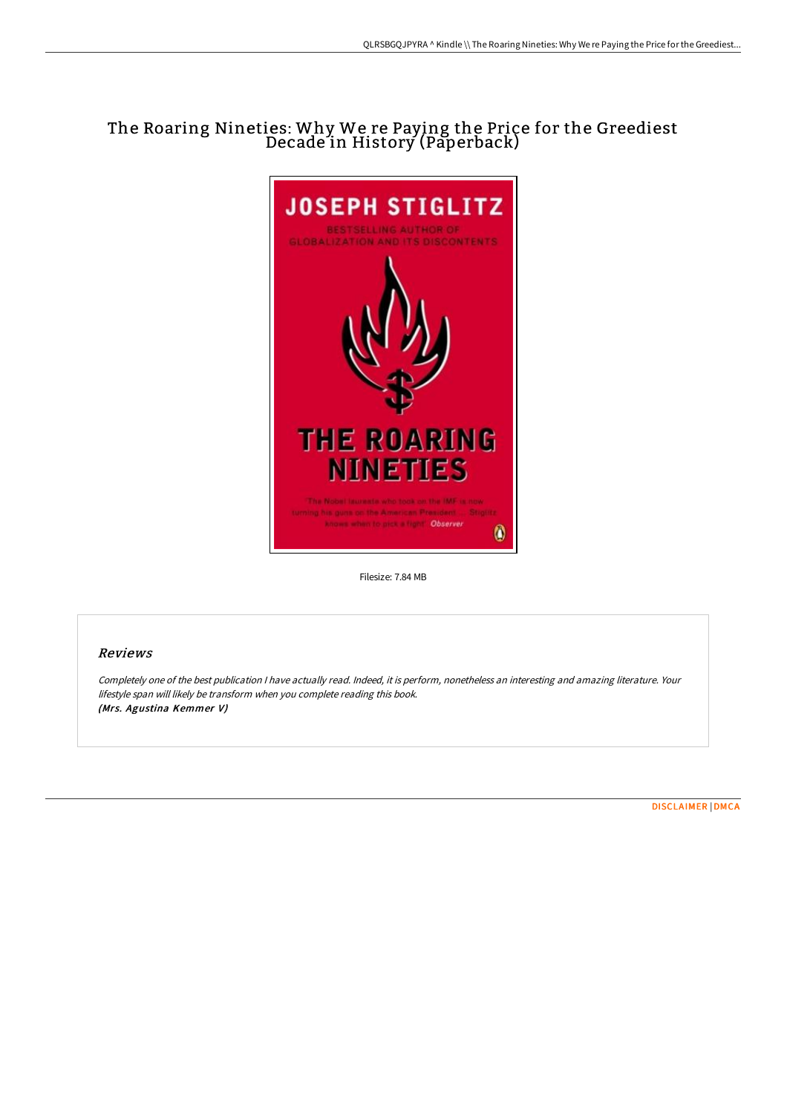# The Roaring Nineties: Why We re Paying the Price for the Greediest Decade in History (Paperback)



Filesize: 7.84 MB

## Reviews

Completely one of the best publication <sup>I</sup> have actually read. Indeed, it is perform, nonetheless an interesting and amazing literature. Your lifestyle span will likely be transform when you complete reading this book. (Mrs. Agustina Kemmer V)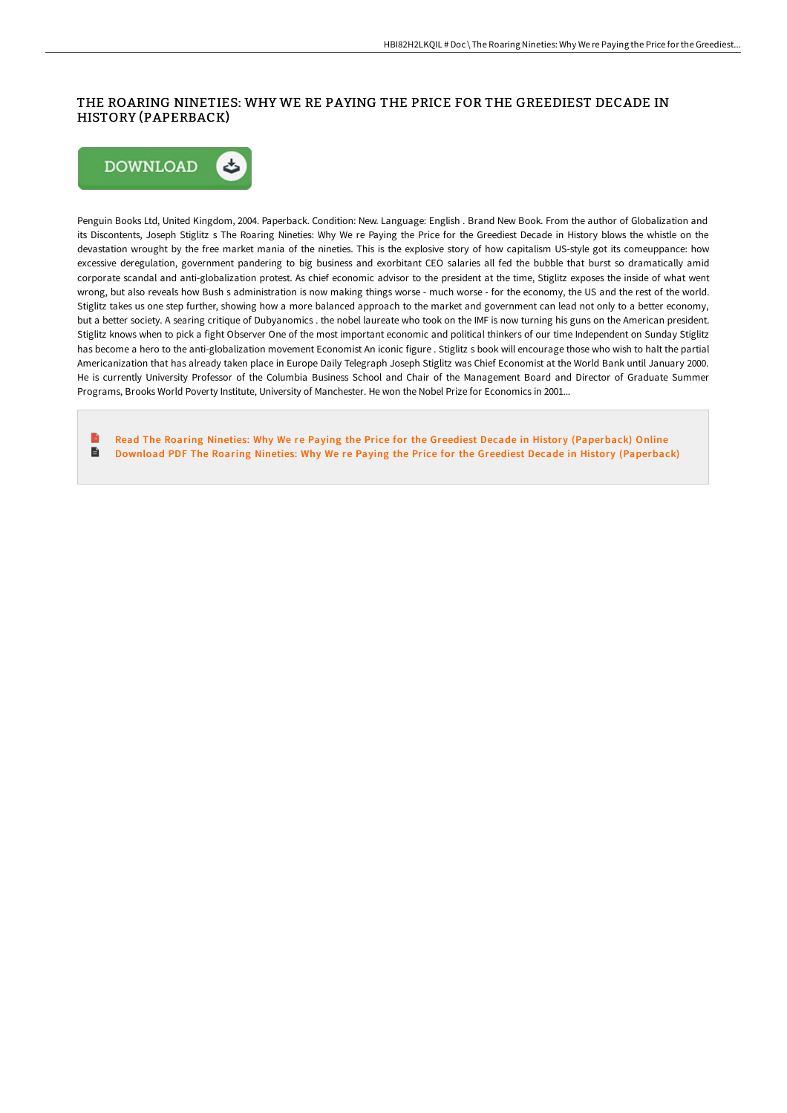## THE ROARING NINETIES: WHY WE RE PAYING THE PRICE FOR THE GREEDIEST DECADE IN HISTORY (PAPERBACK)



Penguin Books Ltd, United Kingdom, 2004. Paperback. Condition: New. Language: English . Brand New Book. From the author of Globalization and its Discontents, Joseph Stiglitz s The Roaring Nineties: Why We re Paying the Price for the Greediest Decade in History blows the whistle on the devastation wrought by the free market mania of the nineties. This is the explosive story of how capitalism US-style got its comeuppance: how excessive deregulation, government pandering to big business and exorbitant CEO salaries all fed the bubble that burst so dramatically amid corporate scandal and anti-globalization protest. As chief economic advisor to the president at the time, Stiglitz exposes the inside of what went wrong, but also reveals how Bush s administration is now making things worse - much worse - for the economy, the US and the rest of the world. Stiglitz takes us one step further, showing how a more balanced approach to the market and government can lead not only to a better economy, but a better society. A searing critique of Dubyanomics . the nobel laureate who took on the IMF is now turning his guns on the American president. Stiglitz knows when to pick a fight Observer One of the most important economic and political thinkers of our time Independent on Sunday Stiglitz has become a hero to the anti-globalization movement Economist An iconic figure . Stiglitz s book will encourage those who wish to halt the partial Americanization that has already taken place in Europe Daily Telegraph Joseph Stiglitz was Chief Economist at the World Bank until January 2000. He is currently University Professor of the Columbia Business School and Chair of the Management Board and Director of Graduate Summer Programs, Brooks World Poverty Institute, University of Manchester. He won the Nobel Prize for Economics in 2001...

Read The Roaring Nineties: Why We re Paying the Price for the Greediest Decade in History [\(Paperback\)](http://www.bookdirs.com/the-roaring-nineties-why-we-re-paying-the-price-.html) Online  $\blacksquare$ Download PDF The Roaring Nineties: Why We re Paying the Price for the Greediest Decade in History [\(Paperback\)](http://www.bookdirs.com/the-roaring-nineties-why-we-re-paying-the-price-.html)